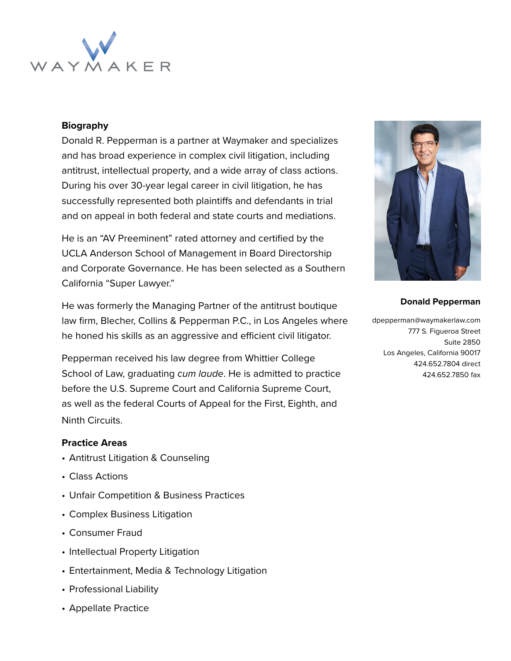

## **Biography**

Donald R. Pepperman is a partner at Waymaker and specializes and has broad experience in complex civil litigation, including antitrust, intellectual property, and a wide array of class actions. During his over 30-year legal career in civil litigation, he has successfully represented both plaintiffs and defendants in trial and on appeal in both federal and state courts and mediations.

He is an "AV Preeminent" rated attorney and certified by the UCLA Anderson School of Management in Board Directorship and Corporate Governance. He has been selected as a Southern California "Super Lawyer."

He was formerly the Managing Partner of the antitrust boutique law firm, Blecher, Collins & Pepperman P.C., in Los Angeles where he honed his skills as an aggressive and efficient civil litigator.

Pepperman received his law degree from Whittier College School of Law, graduating *cum laude*. He is admitted to practice before the U.S. Supreme Court and California Supreme Court, as well as the federal Courts of Appeal for the First, Eighth, and Ninth Circuits.

#### **Practice Areas**

- Antitrust Litigation & Counseling
- Class Actions
- Unfair Competition & Business Practices
- Complex Business Litigation
- Consumer Fraud
- Intellectual Property Litigation
- Entertainment, Media & Technology Litigation
- Professional Liability
- Appellate Practice



#### **Donald Pepperman**

dpepperman@waymakerlaw.com 777 S. Figueroa Street Suite 2850 Los Angeles, California 90017 424.652.7804 direct 424.652.7850 fax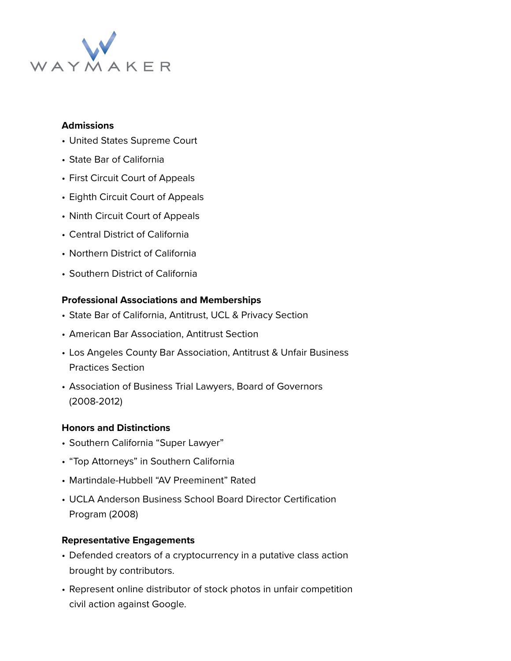

## **Admissions**

- United States Supreme Court
- State Bar of California
- First Circuit Court of Appeals
- Eighth Circuit Court of Appeals
- Ninth Circuit Court of Appeals
- Central District of California
- Northern District of California
- Southern District of California

# **Professional Associations and Memberships**

- State Bar of California, Antitrust, UCL & Privacy Section
- American Bar Association, Antitrust Section
- Los Angeles County Bar Association, Antitrust & Unfair Business Practices Section
- Association of Business Trial Lawyers, Board of Governors (2008-2012)

# **Honors and Distinctions**

- Southern California "Super Lawyer"
- "Top Attorneys" in Southern California
- Martindale-Hubbell "AV Preeminent" Rated
- UCLA Anderson Business School Board Director Certification Program (2008)

# **Representative Engagements**

- Defended creators of a cryptocurrency in a putative class action brought by contributors.
- Represent online distributor of stock photos in unfair competition civil action against Google.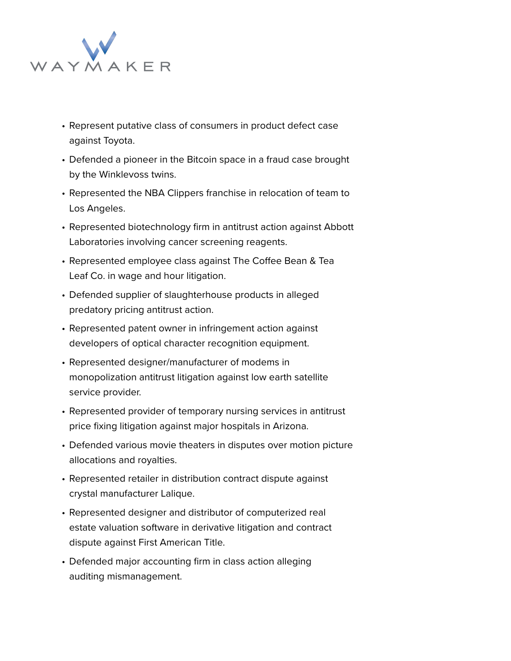

- Represent putative class of consumers in product defect case against Toyota.
- Defended a pioneer in the Bitcoin space in a fraud case brought by the Winklevoss twins.
- Represented the NBA Clippers franchise in relocation of team to Los Angeles.
- Represented biotechnology firm in antitrust action against Abbott Laboratories involving cancer screening reagents.
- Represented employee class against The Coffee Bean & Tea Leaf Co. in wage and hour litigation.
- Defended supplier of slaughterhouse products in alleged predatory pricing antitrust action.
- Represented patent owner in infringement action against developers of optical character recognition equipment.
- Represented designer/manufacturer of modems in monopolization antitrust litigation against low earth satellite service provider.
- Represented provider of temporary nursing services in antitrust price fixing litigation against major hospitals in Arizona.
- Defended various movie theaters in disputes over motion picture allocations and royalties.
- Represented retailer in distribution contract dispute against crystal manufacturer Lalique.
- Represented designer and distributor of computerized real estate valuation software in derivative litigation and contract dispute against First American Title.
- Defended major accounting firm in class action alleging auditing mismanagement.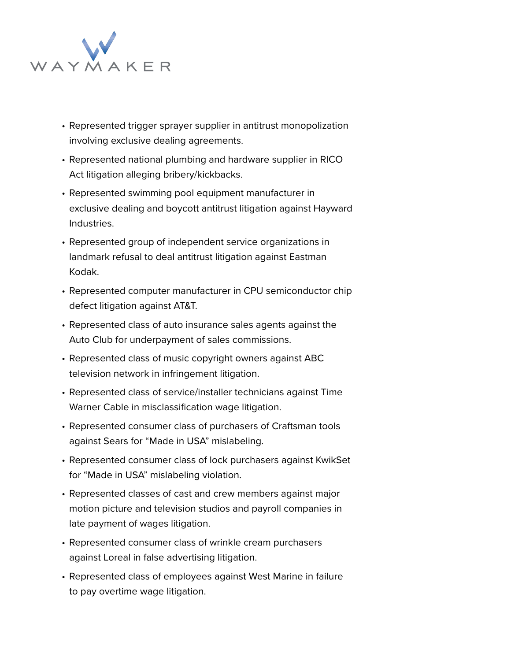

- Represented trigger sprayer supplier in antitrust monopolization involving exclusive dealing agreements.
- Represented national plumbing and hardware supplier in RICO Act litigation alleging bribery/kickbacks.
- Represented swimming pool equipment manufacturer in exclusive dealing and boycott antitrust litigation against Hayward Industries.
- Represented group of independent service organizations in landmark refusal to deal antitrust litigation against Eastman Kodak.
- Represented computer manufacturer in CPU semiconductor chip defect litigation against AT&T.
- Represented class of auto insurance sales agents against the Auto Club for underpayment of sales commissions.
- Represented class of music copyright owners against ABC television network in infringement litigation.
- Represented class of service/installer technicians against Time Warner Cable in misclassification wage litigation.
- Represented consumer class of purchasers of Craftsman tools against Sears for "Made in USA" mislabeling.
- Represented consumer class of lock purchasers against KwikSet for "Made in USA" mislabeling violation.
- Represented classes of cast and crew members against major motion picture and television studios and payroll companies in late payment of wages litigation.
- Represented consumer class of wrinkle cream purchasers against Loreal in false advertising litigation.
- Represented class of employees against West Marine in failure to pay overtime wage litigation.